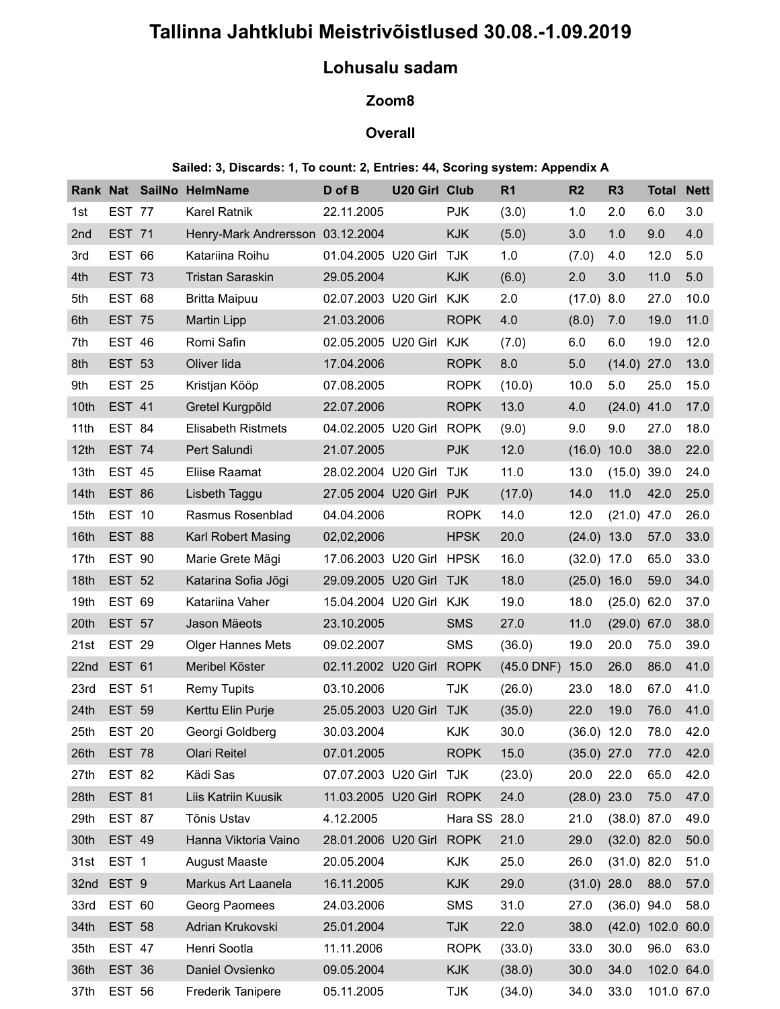# Tallinna Jahtklubi Meistrivõistlused 30.08.-1.09.2019

## Lohusalu sadam

## Zoom8

### **Overall**

#### Sailed: 3, Discards: 1, To count: 2, Entries: 44, Scoring system: Appendix A

|                  |                  | Tallinna Jahtklubi Meistrivõistlused 30.08.-1.09.2019                        |                          |                |              |                |                |                |                     |      |
|------------------|------------------|------------------------------------------------------------------------------|--------------------------|----------------|--------------|----------------|----------------|----------------|---------------------|------|
|                  |                  |                                                                              | Lohusalu sadam           |                |              |                |                |                |                     |      |
|                  |                  |                                                                              |                          |                |              |                |                |                |                     |      |
|                  |                  |                                                                              |                          | Zoom8          |              |                |                |                |                     |      |
|                  |                  |                                                                              |                          | <b>Overall</b> |              |                |                |                |                     |      |
|                  |                  | Sailed: 3, Discards: 1, To count: 2, Entries: 44, Scoring system: Appendix A |                          |                |              |                |                |                |                     |      |
|                  |                  | Rank Nat SailNo HelmName                                                     | D of B                   | U20 Girl Club  |              | R <sub>1</sub> | R <sub>2</sub> | R <sub>3</sub> | <b>Total Nett</b>   |      |
| 1st              | <b>EST 77</b>    | <b>Karel Ratnik</b>                                                          | 22.11.2005               |                | <b>PJK</b>   | (3.0)          | 1.0            | 2.0            | 6.0                 | 3.0  |
| 2nd              | <b>EST 71</b>    | Henry-Mark Andrersson 03.12.2004                                             |                          |                | <b>KJK</b>   | (5.0)          | 3.0            | 1.0            | 9.0                 | 4.0  |
| 3rd              | EST 66           | Katariina Roihu                                                              | 01.04.2005 U20 Girl      |                | <b>TJK</b>   | 1.0            | (7.0)          | 4.0            | 12.0                | 5.0  |
| 4th              | <b>EST 73</b>    | <b>Tristan Saraskin</b>                                                      | 29.05.2004               |                | <b>KJK</b>   | (6.0)          | 2.0            | 3.0            | 11.0                | 5.0  |
| 5th              | EST 68           | <b>Britta Maipuu</b>                                                         | 02.07.2003 U20 Girl      |                | KJK          | 2.0            | $(17.0)$ 8.0   |                | 27.0                | 10.0 |
| 6th              | <b>EST 75</b>    | <b>Martin Lipp</b>                                                           | 21.03.2006               |                | <b>ROPK</b>  | 4.0            | (8.0)          | 7.0            | 19.0                | 11.0 |
| 7th              | <b>EST 46</b>    | Romi Safin                                                                   | 02.05.2005 U20 Girl      |                | KJK          | (7.0)          | 6.0            | 6.0            | 19.0                | 12.0 |
| 8th              | <b>EST 53</b>    | Oliver lida                                                                  | 17.04.2006               |                | <b>ROPK</b>  | 8.0            | 5.0            | $(14.0)$ 27.0  |                     | 13.0 |
| 9th              | <b>EST 25</b>    | Kristjan Kööp                                                                | 07.08.2005               |                | <b>ROPK</b>  | (10.0)         | 10.0           | 5.0            | 25.0                | 15.0 |
| 10 <sub>th</sub> | <b>EST 41</b>    | Gretel Kurgpõld                                                              | 22.07.2006               |                | <b>ROPK</b>  | 13.0           | 4.0            | $(24.0)$ 41.0  |                     | 17.0 |
| 11th             | EST 84           | <b>Elisabeth Ristmets</b>                                                    | 04.02.2005 U20 Girl ROPK |                |              | (9.0)          | 9.0            | 9.0            | 27.0 18.0           |      |
| 12 <sup>th</sup> | <b>EST 74</b>    | Pert Salundi                                                                 | 21.07.2005               |                | <b>PJK</b>   | 12.0           | $(16.0)$ 10.0  |                | 38.0                | 22.0 |
| 13 <sub>th</sub> | <b>EST 45</b>    | Eliise Raamat                                                                | 28.02.2004 U20 Girl TJK  |                |              | 11.0           | 13.0           | $(15.0)$ 39.0  |                     | 24.0 |
| 14 <sup>th</sup> | <b>EST 86</b>    | Lisbeth Taggu                                                                | 27.05 2004 U20 Girl PJK  |                |              | (17.0)         | 14.0           | 11.0           | 42.0                | 25.0 |
| 15th             | <b>EST 10</b>    | Rasmus Rosenblad                                                             | 04.04.2006               |                | <b>ROPK</b>  | 14.0           | 12.0           | $(21.0)$ 47.0  |                     | 26.0 |
| 16 <sub>th</sub> | EST 88           | Karl Robert Masing                                                           | 02,02,2006               |                | <b>HPSK</b>  | 20.0           | $(24.0)$ 13.0  |                | 57.0                | 33.0 |
| 17th             | EST 90           | Marie Grete Mägi                                                             | 17.06.2003 U20 Girl HPSK |                |              | 16.0           | $(32.0)$ 17.0  |                | 65.0                | 33.0 |
| 18 <sub>th</sub> | <b>EST 52</b>    | Katarina Sofia Jõgi                                                          | 29.09.2005 U20 Girl TJK  |                |              | 18.0           | $(25.0)$ 16.0  |                | 59.0                | 34.0 |
| 19th             | EST 69           | Katariina Vaher                                                              | 15.04.2004 U20 Girl KJK  |                |              | 19.0           | 18.0           | $(25.0)$ 62.0  |                     | 37.0 |
| 20th             | <b>EST 57</b>    | Jason Mäeots                                                                 | 23.10.2005               |                | <b>SMS</b>   | 27.0           | 11.0           | $(29.0)$ 67.0  |                     | 38.0 |
| 21st             | <b>EST 29</b>    | <b>Olger Hannes Mets</b>                                                     | 09.02.2007               |                | <b>SMS</b>   | (36.0)         | 19.0           | 20.0           | 75.0                | 39.0 |
| 22 <sub>nd</sub> | <b>EST 61</b>    | Meribel Köster                                                               | 02.11.2002 U20 Girl      |                | <b>ROPK</b>  | $(45.0$ DNF)   | 15.0           | 26.0           | 86.0                | 41.0 |
| 23rd             | <b>EST 51</b>    | <b>Remy Tupits</b>                                                           | 03.10.2006               |                | <b>TJK</b>   | (26.0)         | 23.0           | 18.0           | 67.0                | 41.0 |
| 24th             | <b>EST 59</b>    | Kerttu Elin Purje                                                            | 25.05.2003 U20 Girl TJK  |                |              | (35.0)         | 22.0           | 19.0           | 76.0                | 41.0 |
| 25th             | <b>EST 20</b>    | Georgi Goldberg                                                              | 30.03.2004               |                | <b>KJK</b>   | 30.0           | $(36.0)$ 12.0  |                | 78.0                | 42.0 |
| 26 <sup>th</sup> | <b>EST 78</b>    | <b>Olari Reitel</b>                                                          | 07.01.2005               |                | <b>ROPK</b>  | 15.0           | $(35.0)$ 27.0  |                | 77.0                | 42.0 |
| 27th             | EST 82           | Kädi Sas                                                                     | 07.07.2003 U20 Girl TJK  |                |              | (23.0)         | 20.0           | 22.0           | 65.0                | 42.0 |
| 28th             | <b>EST 81</b>    | Liis Katriin Kuusik                                                          | 11.03.2005 U20 Girl ROPK |                |              | 24.0           | $(28.0)$ 23.0  |                | 75.0                | 47.0 |
| 29th             | <b>EST 87</b>    | Tõnis Ustav                                                                  | 4.12.2005                |                | Hara SS 28.0 |                | 21.0           | $(38.0)$ 87.0  |                     | 49.0 |
| 30th             | <b>EST 49</b>    | Hanna Viktoria Vaino                                                         | 28.01.2006 U20 Girl      |                | <b>ROPK</b>  | 21.0           | 29.0           | $(32.0)$ 82.0  |                     | 50.0 |
| 31st             | EST <sub>1</sub> | <b>August Maaste</b>                                                         | 20.05.2004               |                | <b>KJK</b>   | 25.0           | 26.0           | $(31.0)$ 82.0  |                     | 51.0 |
| 32nd             | EST 9            | Markus Art Laanela                                                           | 16.11.2005               |                | <b>KJK</b>   | 29.0           | $(31.0)$ 28.0  |                | 88.0                | 57.0 |
| 33rd             | EST 60           | Georg Paomees                                                                | 24.03.2006               |                | <b>SMS</b>   | 31.0           | 27.0           | $(36.0)$ 94.0  |                     | 58.0 |
| 34th             | <b>EST 58</b>    | Adrian Krukovski                                                             | 25.01.2004               |                | <b>TJK</b>   | 22.0           | 38.0           |                | $(42.0)$ 102.0 60.0 |      |
| 35th             | <b>EST 47</b>    | Henri Sootla                                                                 | 11.11.2006               |                | <b>ROPK</b>  | (33.0)         | 33.0           | 30.0           | 96.0                | 63.0 |
| 36th             | <b>EST 36</b>    | Daniel Ovsienko                                                              | 09.05.2004               |                | <b>KJK</b>   | (38.0)         | 30.0           | 34.0           | 102.0 64.0          |      |
| 37th             | <b>EST 56</b>    | Frederik Tanipere                                                            | 05.11.2005               |                | <b>TJK</b>   | (34.0)         | 34.0           | 33.0           | 101.0 67.0          |      |